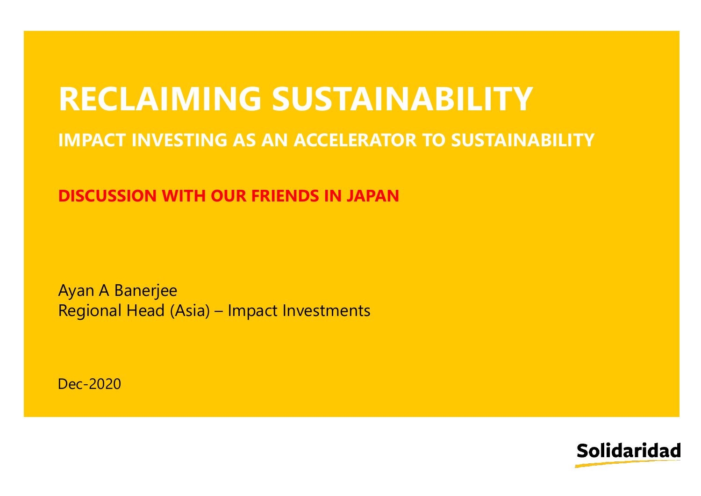# **RECLAIMING SUSTAINABILITY**

#### **IMPACT INVESTING AS AN ACCELERATOR TO SUSTAINABILITY**

**DISCUSSION WITH OUR FRIENDS IN JAPAN**

Ayan A Banerjee Regional Head (Asia) – Impact Investments

Dec-2020

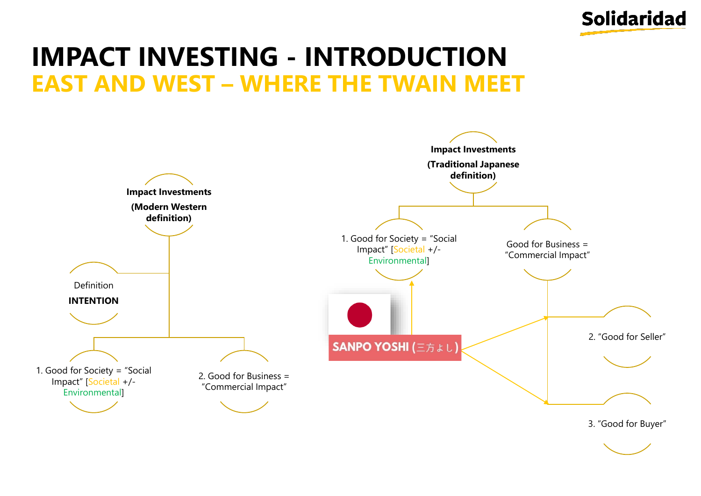

## **IMPACT INVESTING - INTRODUCTION EAST AND WEST – WHERE THE TWAIN MEET**

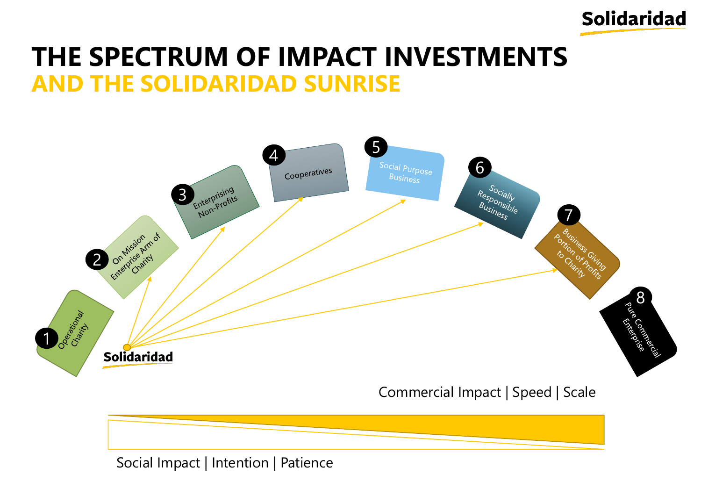

### **THE SPECTRUM OF IMPACT INVESTMENTS AND THE SOLIDARIDAD SUNRISE**



Social Impact | Intention | Patience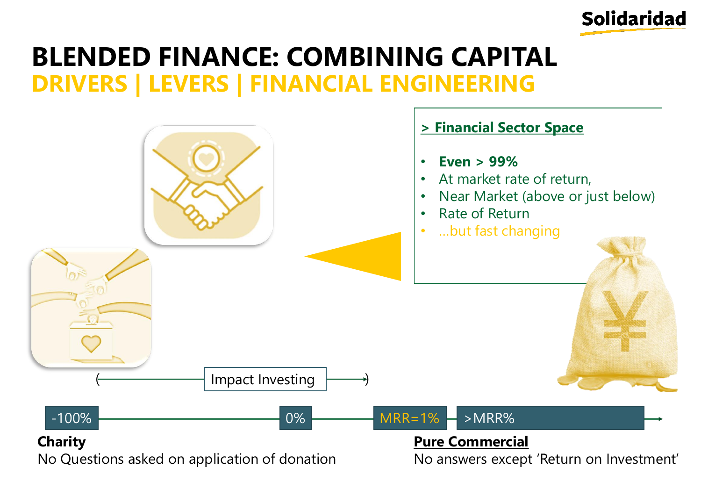

#### **BLENDED FINANCE: COMBINING CAPITAL DRIVERS | LEVERS | FINANCIAL ENGINEERING**

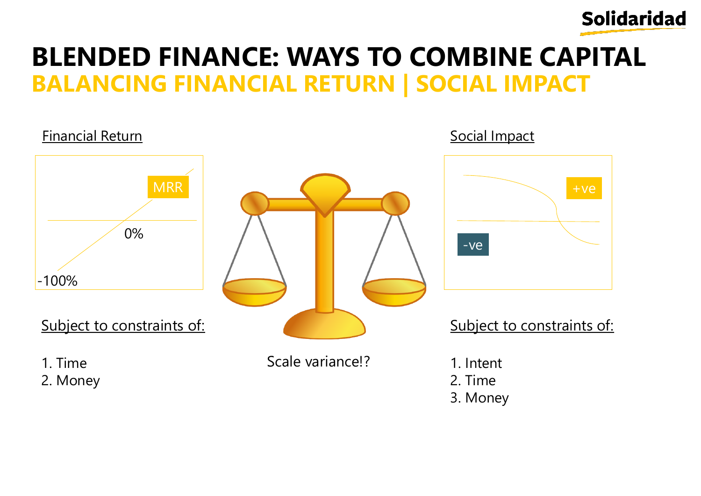

## **BLENDED FINANCE: WAYS TO COMBINE CAPITAL BALANCING FINANCIAL RETURN | SOCIAL IMPACT**

#### -100% **MRR** 0% Subject to constraints of: 1. Time 2. Money Financial Return **Financial Return** Social Impact Subject to constraints of: 1. Intent 2. Time 3. Money +ve -ve Scale variance!?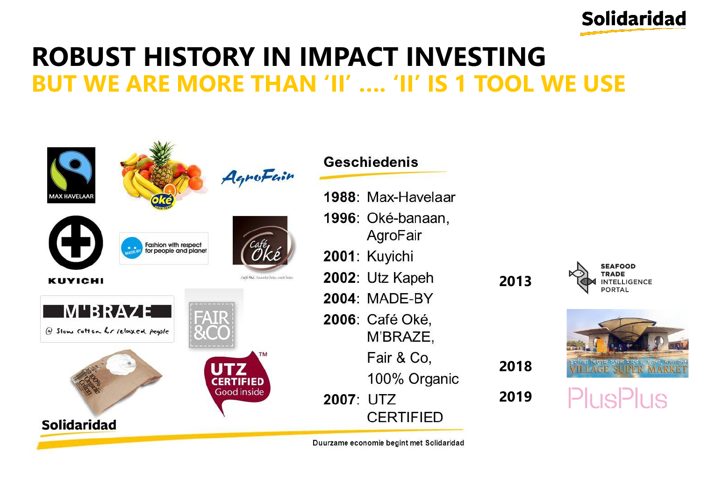

#### **ROBUST HISTORY IN IMPACT INVESTING BUT WE ARE MORE THAN 'II' …. 'II' IS 1 TOOL WE USE**

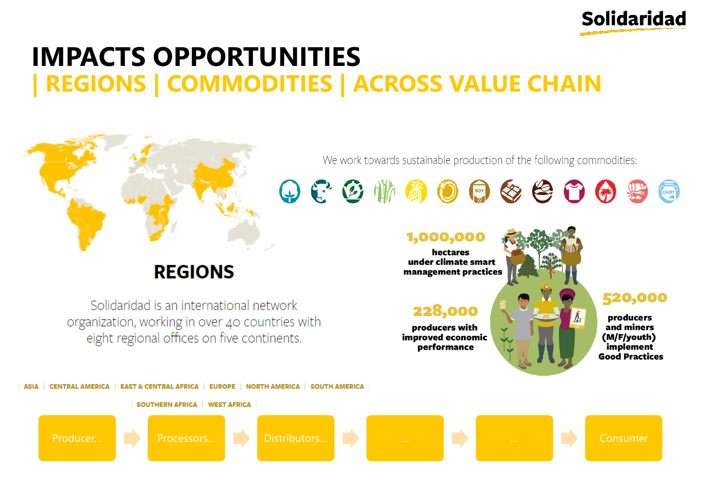

## **IMPACTS OPPORTUNITIES REGIONS | COMMODITIES | ACROSS VALUE CHAIN**



 $O C C \cong \mathbb{R}$  and  $O C \otimes \mathbb{R}$ 

#### **REGIONS**

Solidaridad is an international network organization, working in over 40 countries with eight regional offices on five continents.



producers with improved economic performance

520,000

DAIRY

producers and miners (M/F/youth) implement **Good Practices** 

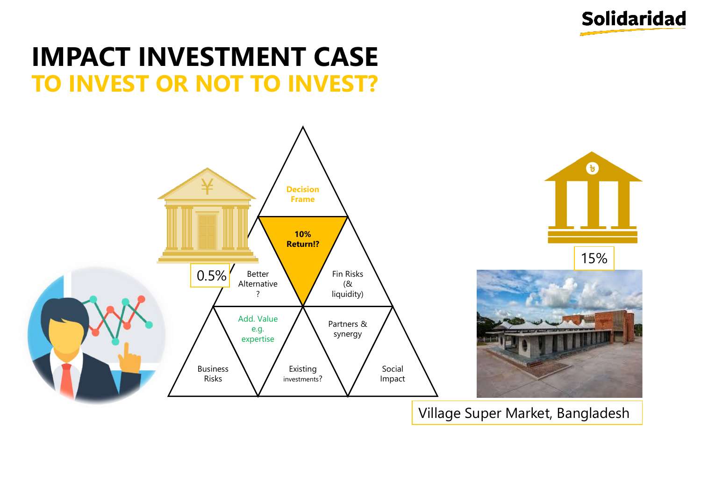

#### **IMPACT INVESTMENT CASE TO INVEST OR NOT TO INVEST?**



Village Super Market, Bangladesh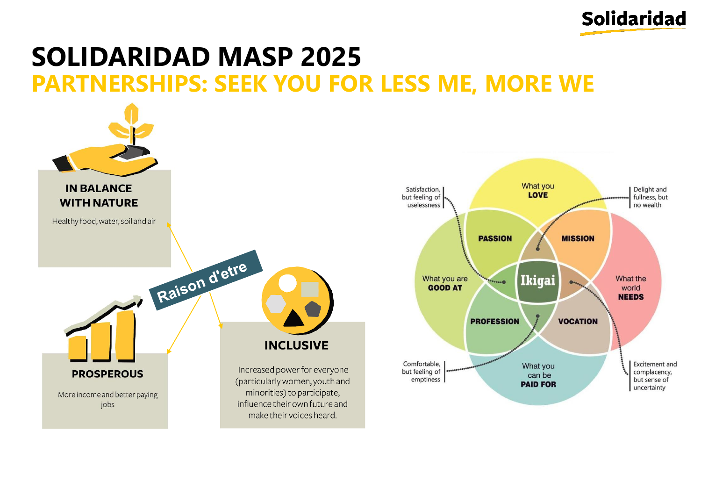

#### **SOLIDARIDAD MASP 2025 PARTNERSHIPS: SEEK YOU FOR LESS ME, MORE WE**

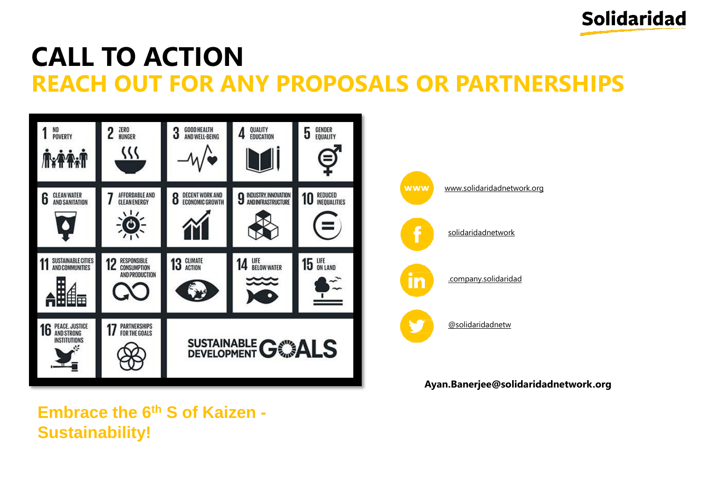

## **CALL TO ACTION REACH OUT FOR ANY PROPOSALS OR PARTNERSHIPS**





#### **Ayan.Banerjee@solidaridadnetwork.org**

**Embrace the 6th S of Kaizen - Sustainability!**